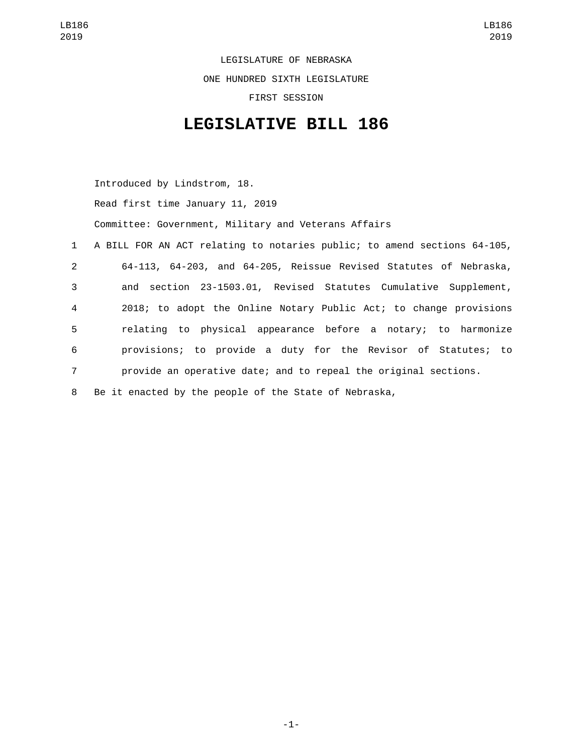LEGISLATURE OF NEBRASKA ONE HUNDRED SIXTH LEGISLATURE FIRST SESSION

## **LEGISLATIVE BILL 186**

Introduced by Lindstrom, 18.

Read first time January 11, 2019

Committee: Government, Military and Veterans Affairs

 A BILL FOR AN ACT relating to notaries public; to amend sections 64-105, 64-113, 64-203, and 64-205, Reissue Revised Statutes of Nebraska, and section 23-1503.01, Revised Statutes Cumulative Supplement, 2018; to adopt the Online Notary Public Act; to change provisions relating to physical appearance before a notary; to harmonize provisions; to provide a duty for the Revisor of Statutes; to provide an operative date; and to repeal the original sections. Be it enacted by the people of the State of Nebraska,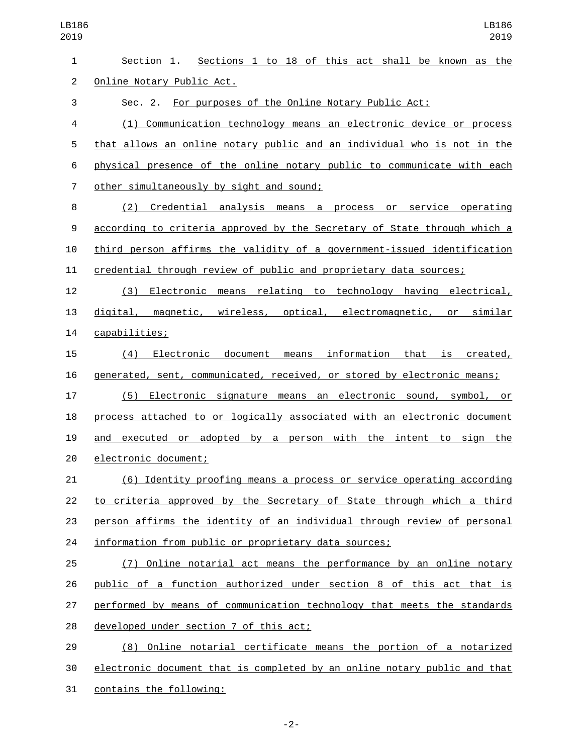Section 1. Sections 1 to 18 of this act shall be known as the 2 Online Notary Public Act. Sec. 2. For purposes of the Online Notary Public Act: (1) Communication technology means an electronic device or process that allows an online notary public and an individual who is not in the physical presence of the online notary public to communicate with each other simultaneously by sight and sound;7 (2) Credential analysis means a process or service operating according to criteria approved by the Secretary of State through which a third person affirms the validity of a government-issued identification credential through review of public and proprietary data sources; (3) Electronic means relating to technology having electrical, digital, magnetic, wireless, optical, electromagnetic, or similar capabilities;14 (4) Electronic document means information that is created, generated, sent, communicated, received, or stored by electronic means; (5) Electronic signature means an electronic sound, symbol, or process attached to or logically associated with an electronic document 19 and executed or adopted by a person with the intent to sign the 20 electronic document; (6) Identity proofing means a process or service operating according to criteria approved by the Secretary of State through which a third person affirms the identity of an individual through review of personal 24 information from public or proprietary data sources; (7) Online notarial act means the performance by an online notary public of a function authorized under section 8 of this act that is performed by means of communication technology that meets the standards 28 developed under section 7 of this act; (8) Online notarial certificate means the portion of a notarized electronic document that is completed by an online notary public and that

31 contains the following: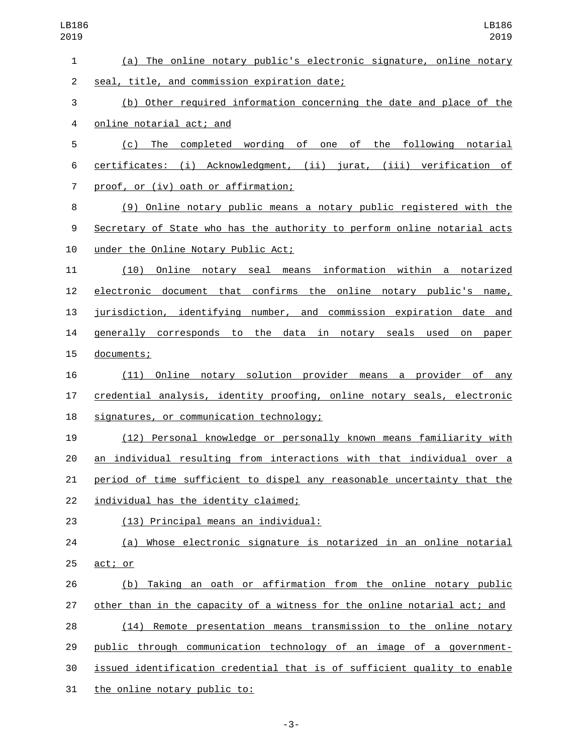| LB186<br>2019  | LB186<br>2019                                                             |
|----------------|---------------------------------------------------------------------------|
| $\mathbf{1}$   | (a) The online notary public's electronic signature, online notary        |
| $\overline{c}$ | seal, title, and commission expiration date;                              |
| 3              | (b) Other required information concerning the date and place of the       |
| $\overline{4}$ | online notarial act; and                                                  |
| 5              | completed wording of one of the following notarial<br>The<br>(c)          |
| 6              | certificates: (i) Acknowledgment, (ii) jurat, (iii) verification of       |
| $\overline{7}$ | proof, or (iv) oath or affirmation;                                       |
| 8              | (9) Online notary public means a notary public registered with the        |
| 9              | Secretary of State who has the authority to perform online notarial acts  |
| 10             | under the Online Notary Public Act;                                       |
| 11             | notary seal means information within a notarized<br><u>Online</u><br>(10) |
| 12             | electronic document that confirms the online notary public's name,        |
| 13             | jurisdiction, identifying number, and commission expiration date and      |
| 14             | in notary seals used<br>generally corresponds to the data<br>on<br>paper  |
| 15             | documents;                                                                |
| 16             | Online notary solution provider means a provider of any<br>(11)           |
| 17             | credential analysis, identity proofing, online notary seals, electronic   |
| 18             | signatures, or communication technology;                                  |
| 19             | (12) Personal knowledge or personally known means familiarity with        |
| 20             | an individual resulting from interactions with that individual over a     |
| 21             | period of time sufficient to dispel any reasonable uncertainty that the   |
| 22             | individual has the identity claimed;                                      |
| 23             | (13) Principal means an individual:                                       |
| 24             | (a) Whose electronic signature is notarized in an online notarial         |
| 25             | act; or                                                                   |
| 26             | Taking an oath or affirmation from the online notary public<br>(b)        |
| 27             | other than in the capacity of a witness for the online notarial act; and  |
| 28             | (14) Remote presentation means transmission to the online notary          |
| 29             | public through communication technology of an image of a government-      |
| 30             | issued identification credential that is of sufficient quality to enable  |
| 31             | the online notary public to:                                              |

-3-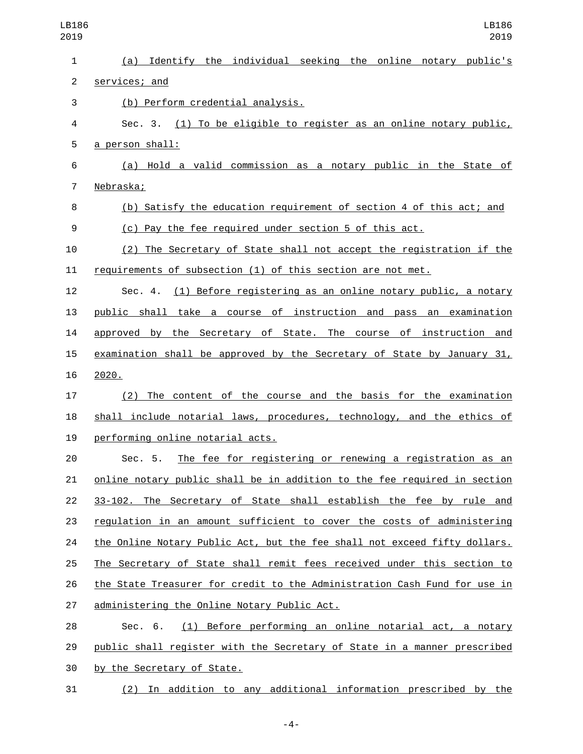| LB186<br>2019  | LB186<br>2019                                                             |
|----------------|---------------------------------------------------------------------------|
| 1              | (a) Identify the individual seeking the online notary public's            |
| $\overline{c}$ | services; and                                                             |
| 3              | (b) Perform credential analysis.                                          |
| 4              | Sec. 3. (1) To be eligible to register as an online notary public,        |
| 5              | <u>a person shall:</u>                                                    |
| 6              | (a) Hold a valid commission as a notary public in the State of            |
| $\overline{7}$ | Nebraska;                                                                 |
| 8              | (b) Satisfy the education requirement of section 4 of this act; and       |
| 9              | (c) Pay the fee required under section 5 of this act.                     |
| 10             | (2) The Secretary of State shall not accept the registration if the       |
| 11             | requirements of subsection (1) of this section are not met.               |
| 12             | Sec. 4. (1) Before registering as an online notary public, a notary       |
| 13             | public shall take a course of instruction and pass an examination         |
| 14             | approved by the Secretary of State. The course of instruction and         |
| 15             | examination shall be approved by the Secretary of State by January 31,    |
| 16             | 2020.                                                                     |
| 17             | (2) The content of the course and the basis for the examination           |
| 18             | shall include notarial laws, procedures, technology, and the ethics of    |
| 19             | performing online notarial acts.                                          |
| 20             | The fee for registering or renewing a registration as an<br>Sec. 5.       |
| 21             | online notary public shall be in addition to the fee required in section  |
| 22             | 33-102. The Secretary of State shall establish the fee by rule and        |
| 23             | regulation in an amount sufficient to cover the costs of administering    |
| 24             | the Online Notary Public Act, but the fee shall not exceed fifty dollars. |
| 25             | The Secretary of State shall remit fees received under this section to    |
| 26             | the State Treasurer for credit to the Administration Cash Fund for use in |
| 27             | administering the Online Notary Public Act.                               |
| 28             | (1) Before performing an online notarial act, a notary<br>Sec. 6.         |
| 29             | public shall register with the Secretary of State in a manner prescribed  |
| 30             | by the Secretary of State.                                                |
| 31             | (2) In addition to any additional information prescribed by the           |

-4-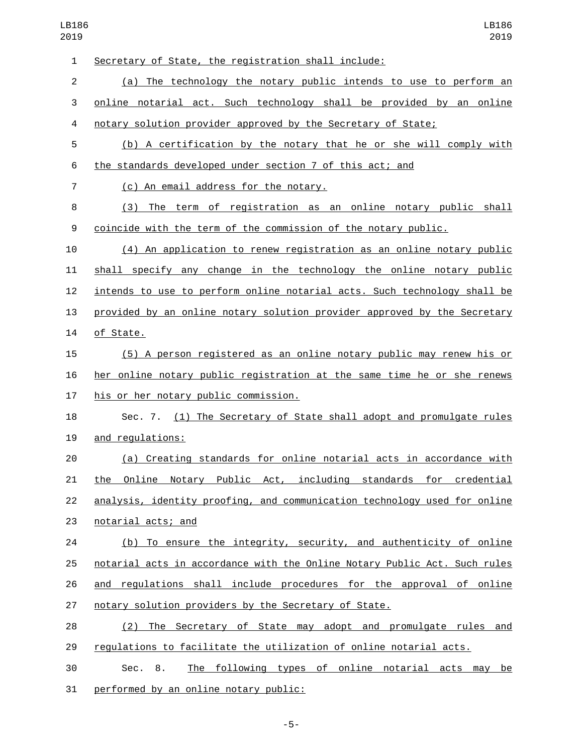| $\mathbf{1}$   | Secretary of State, the registration shall include:                       |
|----------------|---------------------------------------------------------------------------|
| $\overline{2}$ | (a) The technology the notary public intends to use to perform an         |
| 3              | online notarial act. Such technology shall be provided by an online       |
| 4              | notary solution provider approved by the Secretary of State;              |
| 5              | (b) A certification by the notary that he or she will comply with         |
| 6              | the standards developed under section 7 of this act; and                  |
| $\overline{7}$ | (c) An email address for the notary.                                      |
| 8              | (3) The term of registration as an online notary public shall             |
| 9              | coincide with the term of the commission of the notary public.            |
| 10             | (4) An application to renew registration as an online notary public       |
| 11             | shall specify any change in the technology the online notary public       |
| 12             | intends to use to perform online notarial acts. Such technology shall be  |
| 13             | provided by an online notary solution provider approved by the Secretary  |
| 14             | of State.                                                                 |
| 15             | (5) A person registered as an online notary public may renew his or       |
| 16             | her online notary public registration at the same time he or she renews   |
| 17             | his or her notary public commission.                                      |
| 18             | Sec. 7. (1) The Secretary of State shall adopt and promulgate rules       |
| 19             | and regulations:                                                          |
| 20             | (a) Creating standards for online notarial acts in accordance with        |
| 21             | Online Notary Public Act, including standards for credential<br>the       |
| 22             | analysis, identity proofing, and communication technology used for online |
| 23             | notarial acts; and                                                        |
| 24             | (b) To ensure the integrity, security, and authenticity of online         |
| 25             | notarial acts in accordance with the Online Notary Public Act. Such rules |
| 26             | and regulations shall include procedures for the approval of online       |
| 27             | notary solution providers by the Secretary of State.                      |
| 28             | (2) The Secretary of State may adopt and promulgate rules and             |
| 29             | regulations to facilitate the utilization of online notarial acts.        |
| 30             | The following types of online notarial acts may be<br>Sec. 8.             |
| 31             | performed by an online notary public:                                     |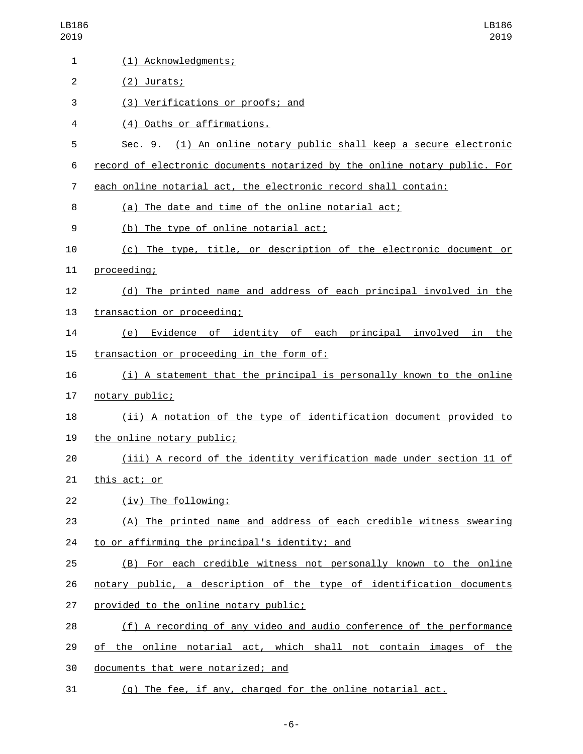| LB186<br>2019  | LB186<br>2019                                                             |
|----------------|---------------------------------------------------------------------------|
| 1              | (1) Acknowledgments;                                                      |
| $\overline{c}$ | $(2)$ Jurats;                                                             |
| 3              | (3) Verifications or proofs; and                                          |
| 4              | (4) Oaths or affirmations.                                                |
| 5              | Sec. 9. (1) An online notary public shall keep a secure electronic        |
| 6              | record of electronic documents notarized by the online notary public. For |
| $\overline{7}$ | each online notarial act, the electronic record shall contain:            |
| 8              | (a) The date and time of the online notarial act;                         |
| 9              | (b) The type of online notarial act;                                      |
| 10             | (c) The type, title, or description of the electronic document or         |
| 11             | proceeding;                                                               |
| 12             | (d) The printed name and address of each principal involved in the        |
| 13             | transaction or proceeding;                                                |
| 14             | Evidence of identity of each principal involved in<br>the<br>(e)          |
| 15             | transaction or proceeding in the form of:                                 |
| 16             | (i) A statement that the principal is personally known to the online      |
| 17             | notary public;                                                            |
| 18             | (ii) A notation of the type of identification document provided to        |
| 19             | the online notary public;                                                 |
| 20             | (iii) A record of the identity verification made under section 11 of      |
| 21             | this act; or                                                              |
| 22             | (iv) The following:                                                       |
| 23             | (A) The printed name and address of each credible witness swearing        |
| 24             | to or affirming the principal's identity; and                             |
| 25             | (B) For each credible witness not personally known to the online          |
| 26             | notary public, a description of the type of identification documents      |
| 27             | provided to the online notary public;                                     |
| 28             | (f) A recording of any video and audio conference of the performance      |
| 29             | of the online notarial act, which shall not contain images of the         |
| 30             | documents that were notarized; and                                        |
| 31             | (g) The fee, if any, charged for the online notarial act.                 |

-6-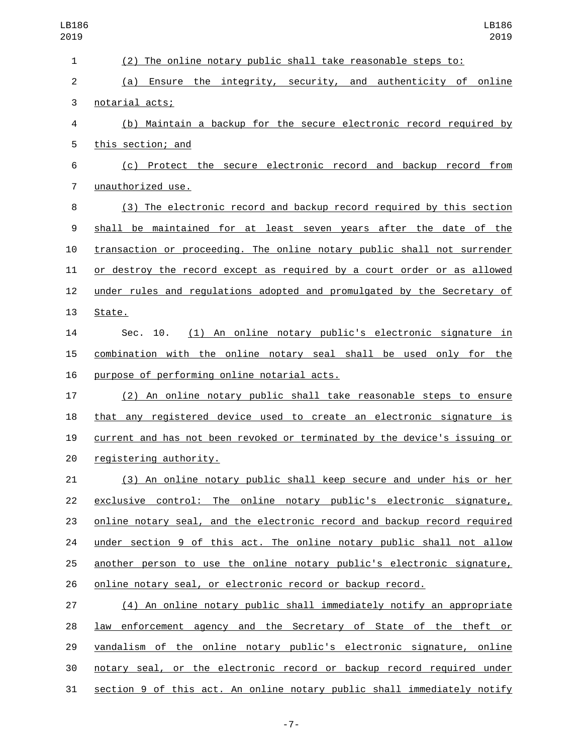| LB186<br>2019            | LB186<br>2019                                                             |
|--------------------------|---------------------------------------------------------------------------|
| $\mathbf{1}$             | (2) The online notary public shall take reasonable steps to:              |
| $\overline{c}$           | Ensure the integrity, security, and authenticity of online<br>(a)         |
| 3                        | notarial acts;                                                            |
| $\overline{\mathcal{A}}$ | (b) Maintain a backup for the secure electronic record required by        |
| 5                        | this section; and                                                         |
| 6                        | (c) Protect the secure electronic record and backup record from           |
| $\overline{7}$           | unauthorized use.                                                         |
| 8                        | (3) The electronic record and backup record required by this section      |
| 9                        | shall be maintained for at least seven years after the date of the        |
| 10                       | transaction or proceeding. The online notary public shall not surrender   |
| 11                       | or destroy the record except as required by a court order or as allowed   |
| 12                       | under rules and regulations adopted and promulgated by the Secretary of   |
| 13                       | State.                                                                    |
| 14                       | (1) An online notary public's electronic signature in<br>Sec. 10.         |
| 15                       | combination with the online notary seal shall be used only for the        |
| 16                       | purpose of performing online notarial acts.                               |
| 17                       | (2) An online notary public shall take reasonable steps to ensure         |
| 18                       | that any registered device used to create an electronic signature is      |
| 19                       | current and has not been revoked or terminated by the device's issuing or |
| 20                       | registering authority.                                                    |
| 21                       | (3) An online notary public shall keep secure and under his or her        |
| 22                       | exclusive control: The online notary public's electronic signature,       |
| 23                       | online notary seal, and the electronic record and backup record required  |
| 24                       | under section 9 of this act. The online notary public shall not allow     |
| 25                       | another person to use the online notary public's electronic signature,    |
| 26                       | online notary seal, or electronic record or backup record.                |
| 27                       | (4) An online notary public shall immediately notify an appropriate       |
| 28                       | law enforcement agency and the Secretary of State of the theft or         |
| 29                       | vandalism of the online notary public's electronic signature, online      |
| 30                       | notary seal, or the electronic record or backup record required under     |
| 31                       | section 9 of this act. An online notary public shall immediately notify   |

-7-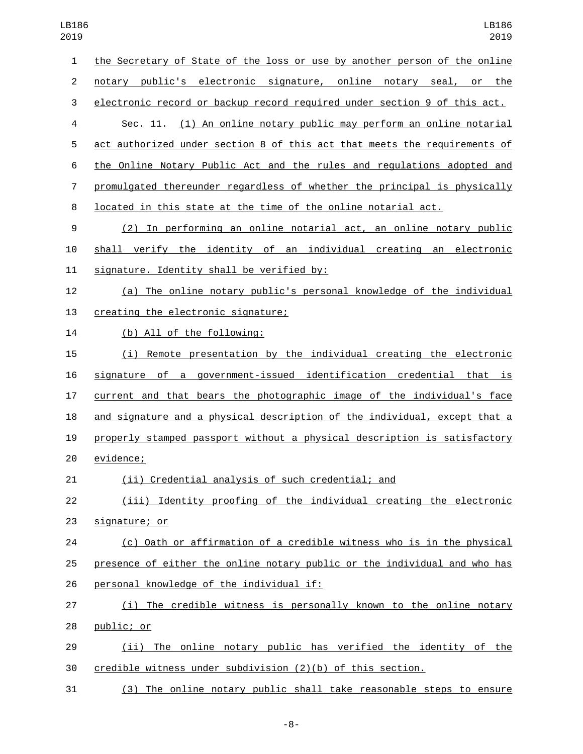| 019            | 2019                                                                      |
|----------------|---------------------------------------------------------------------------|
| $\mathbf{1}$   | the Secretary of State of the loss or use by another person of the online |
| $\overline{2}$ | notary public's electronic signature, online notary seal, or the          |
| 3              | electronic record or backup record required under section 9 of this act.  |
| 4              | (1) An online notary public may perform an online notarial<br>Sec. 11.    |
| 5              | act authorized under section 8 of this act that meets the requirements of |
| 6              | the Online Notary Public Act and the rules and regulations adopted and    |
| 7              | promulgated thereunder regardless of whether the principal is physically  |
| 8              | located in this state at the time of the online notarial act.             |
| 9              | (2) In performing an online notarial act, an online notary public         |
| 10             | shall verify the identity of an individual creating an electronic         |
| 11             | signature. Identity shall be verified by:                                 |
| 12             | (a) The online notary public's personal knowledge of the individual       |
| 13             | creating the electronic signature;                                        |
| 14             | (b) All of the following:                                                 |
| 15             | Remote presentation by the individual creating the electronic<br>(i)      |
| 16             | signature of a government-issued identification credential that is        |
| 17             | current and that bears the photographic image of the individual's face    |
| 18             | and signature and a physical description of the individual, except that a |
| 19             | properly stamped passport without a physical description is satisfactory  |
| 20             | evidence;                                                                 |
| 21             | (ii) Credential analysis of such credential; and                          |
| 22             | (iii) Identity proofing of the individual creating the electronic         |
| 23             | signature; or                                                             |
| 24             | (c) Oath or affirmation of a credible witness who is in the physical      |
| 25             | presence of either the online notary public or the individual and who has |
| 26             | personal knowledge of the individual if:                                  |
| 27             | (i) The credible witness is personally known to the online notary         |
| 28             | public; or                                                                |
| 29             | (ii) The online notary public has verified the identity of the            |
| 30             | credible witness under subdivision (2)(b) of this section.                |
|                |                                                                           |

(3) The online notary public shall take reasonable steps to ensure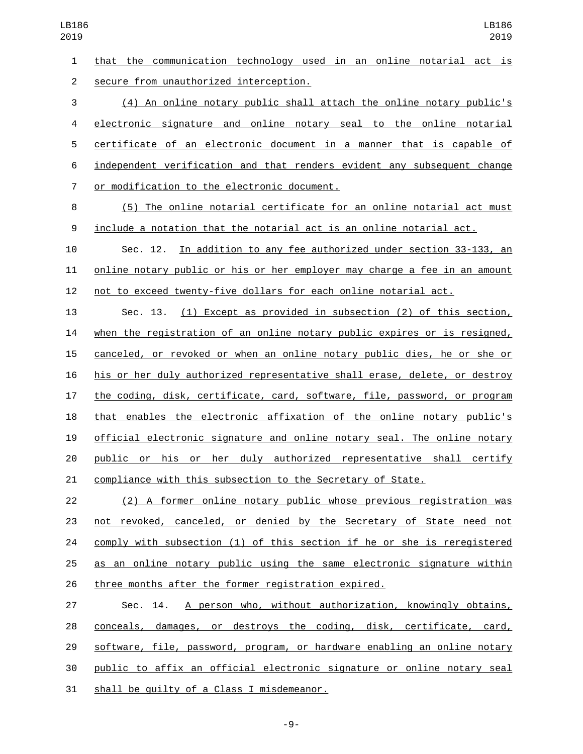that the communication technology used in an online notarial act is secure from unauthorized interception.2

 (4) An online notary public shall attach the online notary public's electronic signature and online notary seal to the online notarial certificate of an electronic document in a manner that is capable of independent verification and that renders evident any subsequent change 7 or modification to the electronic document.

 (5) The online notarial certificate for an online notarial act must include a notation that the notarial act is an online notarial act.

 Sec. 12. In addition to any fee authorized under section 33-133, an online notary public or his or her employer may charge a fee in an amount not to exceed twenty-five dollars for each online notarial act.

 Sec. 13. (1) Except as provided in subsection (2) of this section, when the registration of an online notary public expires or is resigned, canceled, or revoked or when an online notary public dies, he or she or his or her duly authorized representative shall erase, delete, or destroy the coding, disk, certificate, card, software, file, password, or program that enables the electronic affixation of the online notary public's official electronic signature and online notary seal. The online notary public or his or her duly authorized representative shall certify compliance with this subsection to the Secretary of State.

 (2) A former online notary public whose previous registration was not revoked, canceled, or denied by the Secretary of State need not comply with subsection (1) of this section if he or she is reregistered as an online notary public using the same electronic signature within three months after the former registration expired.

 Sec. 14. A person who, without authorization, knowingly obtains, conceals, damages, or destroys the coding, disk, certificate, card, software, file, password, program, or hardware enabling an online notary public to affix an official electronic signature or online notary seal 31 shall be quilty of a Class I misdemeanor.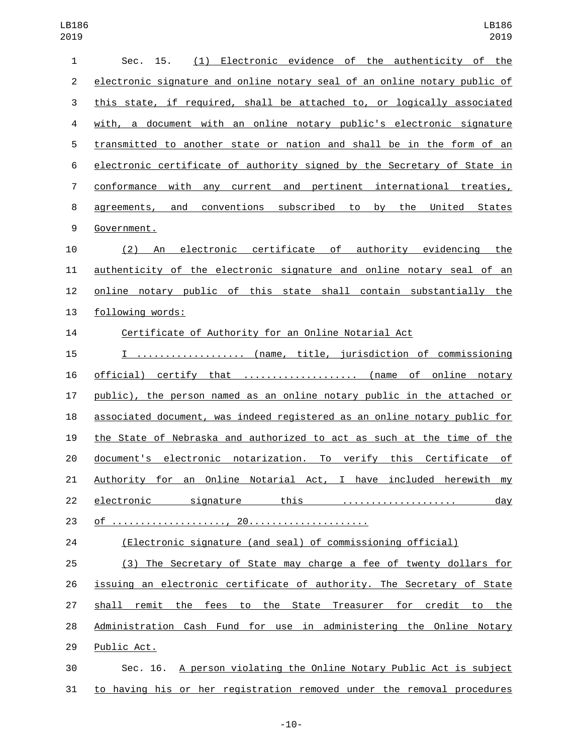| $\mathbf{1}$   | (1) Electronic evidence of the authenticity of the<br>Sec. 15.               |
|----------------|------------------------------------------------------------------------------|
| $\overline{c}$ | electronic signature and online notary seal of an online notary public of    |
| $\sqrt{3}$     | this state, if required, shall be attached to, or logically associated       |
| 4              | with, a document with an online notary public's electronic signature         |
| 5              | transmitted to another state or nation and shall be in the form of an        |
| 6              | electronic certificate of authority signed by the Secretary of State in      |
| $\overline{7}$ | conformance with any current and pertinent international treaties,           |
| 8              | agreements, and conventions subscribed to<br>by the United States            |
| 9              | Government.                                                                  |
| 10             | (2) An electronic certificate of authority evidencing the                    |
| 11             | <u>authenticity of the electronic signature and online notary seal of an</u> |
| 12             | online notary public of this state shall contain substantially the           |
| 13             | following words:                                                             |
| 14             | Certificate of Authority for an Online Notarial Act                          |
| 15             | I  (name, title, jurisdiction of commissioning                               |
| 16             | official) certify that  (name of online notary                               |
| 17             | public), the person named as an online notary public in the attached or      |
| 18             | associated document, was indeed registered as an online notary public for    |
| 19             | the State of Nebraska and authorized to act as such at the time of the       |
| 20             | document's electronic notarization. To verify this Certificate of            |
| 21             | Authority for an Online Notarial Act, I have included herewith my            |
| 22             | electronic signature this<br>day                                             |
| 23             |                                                                              |
| 24             | (Electronic signature (and seal) of commissioning official)                  |
| 25             | (3) The Secretary of State may charge a fee of twenty dollars for            |
| 26             | issuing an electronic certificate of authority. The Secretary of State       |
| 27             | shall remit the fees to the State Treasurer for credit to the                |
| 28             | Administration Cash Fund for use in administering the Online Notary          |
| 29             | Public Act.                                                                  |
| 30             | Sec. 16. A person violating the Online Notary Public Act is subject          |
| 31             | to having his or her registration removed under the removal procedures       |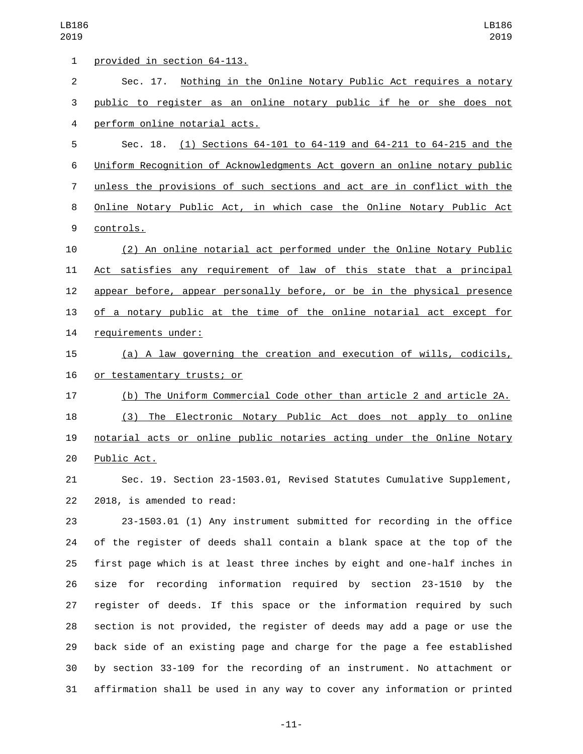| $\mathbf{1}$   | provided in section 64-113.                                               |
|----------------|---------------------------------------------------------------------------|
| $\overline{2}$ | Sec. 17. Nothing in the Online Notary Public Act requires a notary        |
| 3              | public to register as an online notary public if he or she does not       |
| 4              | perform online notarial acts.                                             |
| 5              | Sec. 18. (1) Sections 64-101 to 64-119 and 64-211 to 64-215 and the       |
| 6              | Uniform Recognition of Acknowledgments Act govern an online notary public |
| 7              | unless the provisions of such sections and act are in conflict with the   |
| 8              | Online Notary Public Act, in which case the Online Notary Public Act      |
| 9              | controls.                                                                 |
| 10             | (2) An online notarial act performed under the Online Notary Public       |
| 11             | Act satisfies any requirement of law of this state that a principal       |
| 12             | appear before, appear personally before, or be in the physical presence   |
| 13             | of a notary public at the time of the online notarial act except for      |
| 14             | requirements under:                                                       |
| 15             | (a) A law governing the creation and execution of wills, codicils,        |
| 16             | or testamentary trusts; or                                                |
| 17             | (b) The Uniform Commercial Code other than article 2 and article 2A.      |
| 18             | The Electronic Notary Public Act does not apply to online<br>(3)          |
| 19             | notarial acts or online public notaries acting under the Online Notary    |
| 20             | Public Act.                                                               |
| 21             | Sec. 19. Section 23-1503.01, Revised Statutes Cumulative Supplement,      |
| 22             | 2018, is amended to read:                                                 |
| 23             | 23-1503.01 (1) Any instrument submitted for recording in the office       |
| 24             | of the register of deeds shall contain a blank space at the top of the    |
| 25             | first page which is at least three inches by eight and one-half inches in |
| 26             | size for recording information required by section 23-1510<br>by the      |
| 27             | register of deeds. If this space or the information required by such      |
| 28             | section is not provided, the register of deeds may add a page or use the  |
| 29             | back side of an existing page and charge for the page a fee established   |
| 30             | by section 33-109 for the recording of an instrument. No attachment or    |

-11-

affirmation shall be used in any way to cover any information or printed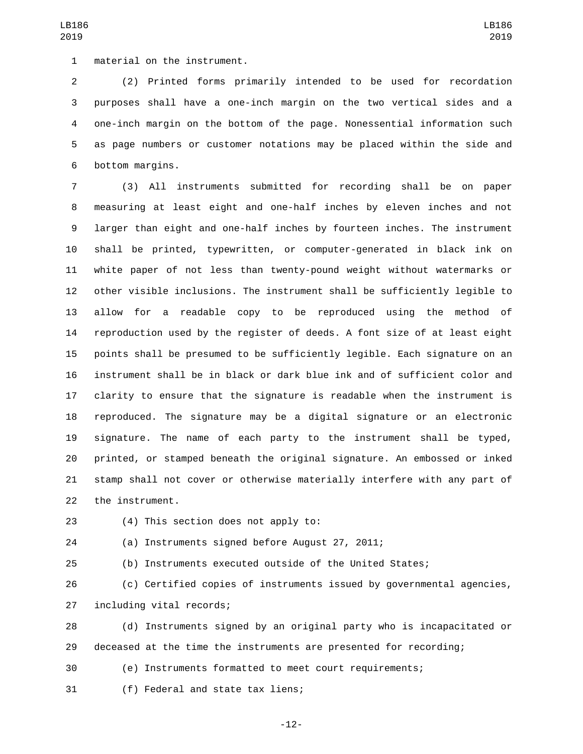1 material on the instrument.

 (2) Printed forms primarily intended to be used for recordation purposes shall have a one-inch margin on the two vertical sides and a one-inch margin on the bottom of the page. Nonessential information such as page numbers or customer notations may be placed within the side and 6 bottom margins.

 (3) All instruments submitted for recording shall be on paper measuring at least eight and one-half inches by eleven inches and not larger than eight and one-half inches by fourteen inches. The instrument shall be printed, typewritten, or computer-generated in black ink on white paper of not less than twenty-pound weight without watermarks or other visible inclusions. The instrument shall be sufficiently legible to allow for a readable copy to be reproduced using the method of reproduction used by the register of deeds. A font size of at least eight points shall be presumed to be sufficiently legible. Each signature on an instrument shall be in black or dark blue ink and of sufficient color and clarity to ensure that the signature is readable when the instrument is reproduced. The signature may be a digital signature or an electronic signature. The name of each party to the instrument shall be typed, printed, or stamped beneath the original signature. An embossed or inked stamp shall not cover or otherwise materially interfere with any part of 22 the instrument.

- 23 (4) This section does not apply to:
- 

- (a) Instruments signed before August 27, 2011;
- 

(b) Instruments executed outside of the United States;

 (c) Certified copies of instruments issued by governmental agencies, 27 including vital records;

 (d) Instruments signed by an original party who is incapacitated or deceased at the time the instruments are presented for recording;

(e) Instruments formatted to meet court requirements;

31 (f) Federal and state tax liens;

-12-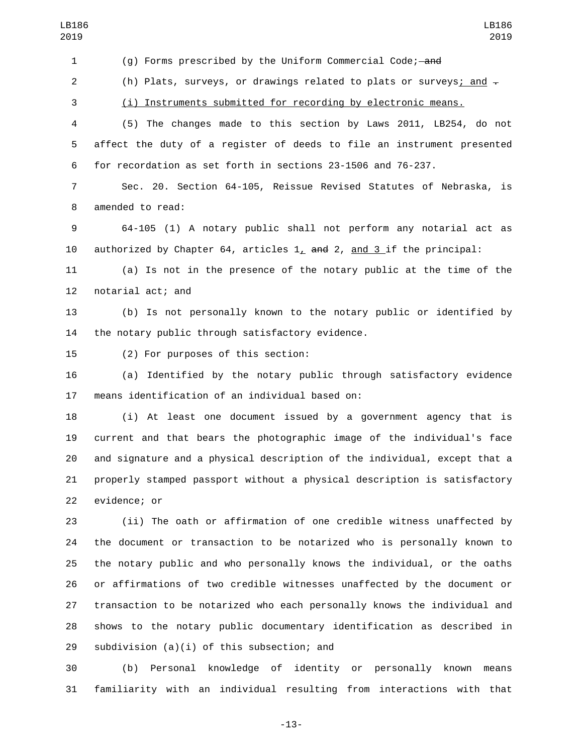(g) Forms prescribed by the Uniform Commercial Code; and 2 (h) Plats, surveys, or drawings related to plats or surveys; and  $\overline{z}$  (i) Instruments submitted for recording by electronic means. (5) The changes made to this section by Laws 2011, LB254, do not affect the duty of a register of deeds to file an instrument presented for recordation as set forth in sections 23-1506 and 76-237. Sec. 20. Section 64-105, Reissue Revised Statutes of Nebraska, is 8 amended to read: 64-105 (1) A notary public shall not perform any notarial act as 10 authorized by Chapter 64, articles  $1<sub>L</sub>$  and  $2$ , and  $3$  if the principal: (a) Is not in the presence of the notary public at the time of the 12 notarial act; and (b) Is not personally known to the notary public or identified by 14 the notary public through satisfactory evidence. 15 (2) For purposes of this section: (a) Identified by the notary public through satisfactory evidence 17 means identification of an individual based on: (i) At least one document issued by a government agency that is LB186 LB186 

 current and that bears the photographic image of the individual's face and signature and a physical description of the individual, except that a properly stamped passport without a physical description is satisfactory 22 evidence; or

 (ii) The oath or affirmation of one credible witness unaffected by the document or transaction to be notarized who is personally known to the notary public and who personally knows the individual, or the oaths or affirmations of two credible witnesses unaffected by the document or transaction to be notarized who each personally knows the individual and shows to the notary public documentary identification as described in 29 subdivision  $(a)(i)$  of this subsection; and

 (b) Personal knowledge of identity or personally known means familiarity with an individual resulting from interactions with that

-13-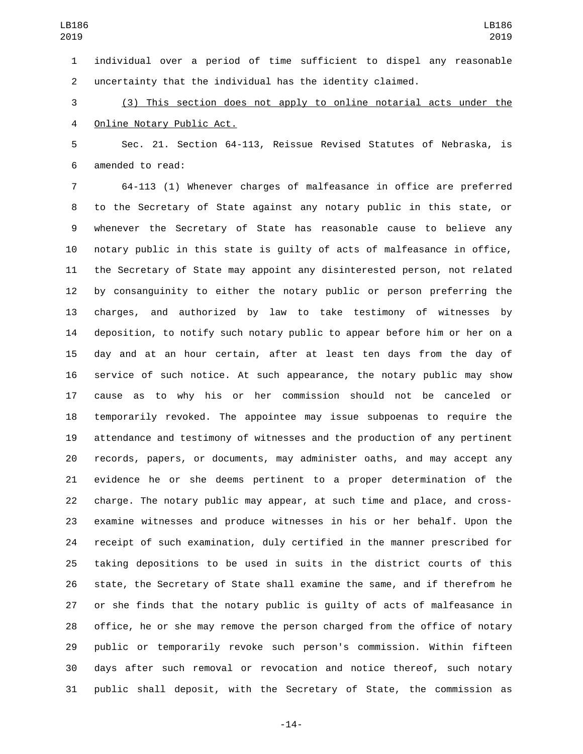individual over a period of time sufficient to dispel any reasonable uncertainty that the individual has the identity claimed.

 (3) This section does not apply to online notarial acts under the 4 Online Notary Public Act.

 Sec. 21. Section 64-113, Reissue Revised Statutes of Nebraska, is 6 amended to read:

 64-113 (1) Whenever charges of malfeasance in office are preferred to the Secretary of State against any notary public in this state, or whenever the Secretary of State has reasonable cause to believe any notary public in this state is guilty of acts of malfeasance in office, the Secretary of State may appoint any disinterested person, not related by consanguinity to either the notary public or person preferring the charges, and authorized by law to take testimony of witnesses by deposition, to notify such notary public to appear before him or her on a day and at an hour certain, after at least ten days from the day of service of such notice. At such appearance, the notary public may show cause as to why his or her commission should not be canceled or temporarily revoked. The appointee may issue subpoenas to require the attendance and testimony of witnesses and the production of any pertinent records, papers, or documents, may administer oaths, and may accept any evidence he or she deems pertinent to a proper determination of the charge. The notary public may appear, at such time and place, and cross- examine witnesses and produce witnesses in his or her behalf. Upon the receipt of such examination, duly certified in the manner prescribed for taking depositions to be used in suits in the district courts of this state, the Secretary of State shall examine the same, and if therefrom he or she finds that the notary public is guilty of acts of malfeasance in office, he or she may remove the person charged from the office of notary public or temporarily revoke such person's commission. Within fifteen days after such removal or revocation and notice thereof, such notary public shall deposit, with the Secretary of State, the commission as

-14-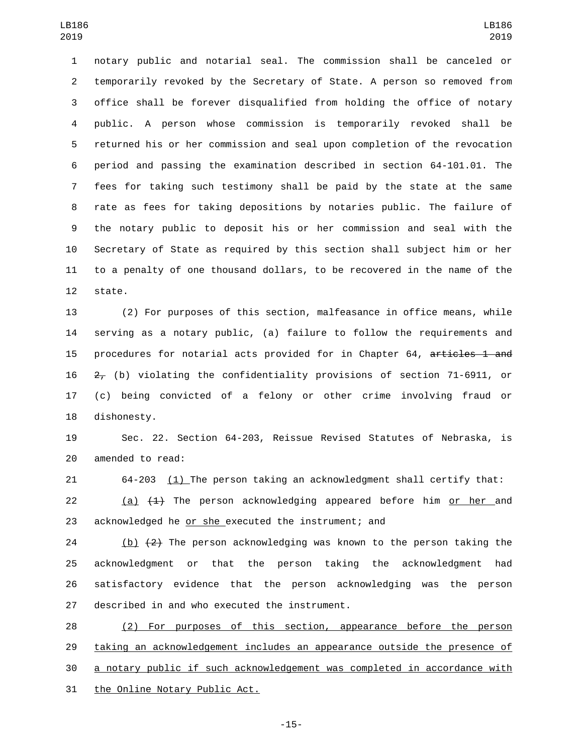notary public and notarial seal. The commission shall be canceled or temporarily revoked by the Secretary of State. A person so removed from office shall be forever disqualified from holding the office of notary public. A person whose commission is temporarily revoked shall be returned his or her commission and seal upon completion of the revocation period and passing the examination described in section 64-101.01. The fees for taking such testimony shall be paid by the state at the same rate as fees for taking depositions by notaries public. The failure of the notary public to deposit his or her commission and seal with the Secretary of State as required by this section shall subject him or her to a penalty of one thousand dollars, to be recovered in the name of the 12 state.

 (2) For purposes of this section, malfeasance in office means, while serving as a notary public, (a) failure to follow the requirements and 15 procedures for notarial acts provided for in Chapter 64, articles 1 and (b) violating the confidentiality provisions of section 71-6911, or (c) being convicted of a felony or other crime involving fraud or 18 dishonesty.

 Sec. 22. Section 64-203, Reissue Revised Statutes of Nebraska, is 20 amended to read:

64-203 (1) The person taking an acknowledgment shall certify that:

22  $(a)$   $(1)$  The person acknowledging appeared before him or her and acknowledged he or she executed the instrument; and

24 (b)  $\{2\}$  The person acknowledging was known to the person taking the acknowledgment or that the person taking the acknowledgment had satisfactory evidence that the person acknowledging was the person 27 described in and who executed the instrument.

 (2) For purposes of this section, appearance before the person 29 taking an acknowledgement includes an appearance outside the presence of a notary public if such acknowledgement was completed in accordance with 31 the Online Notary Public Act.

-15-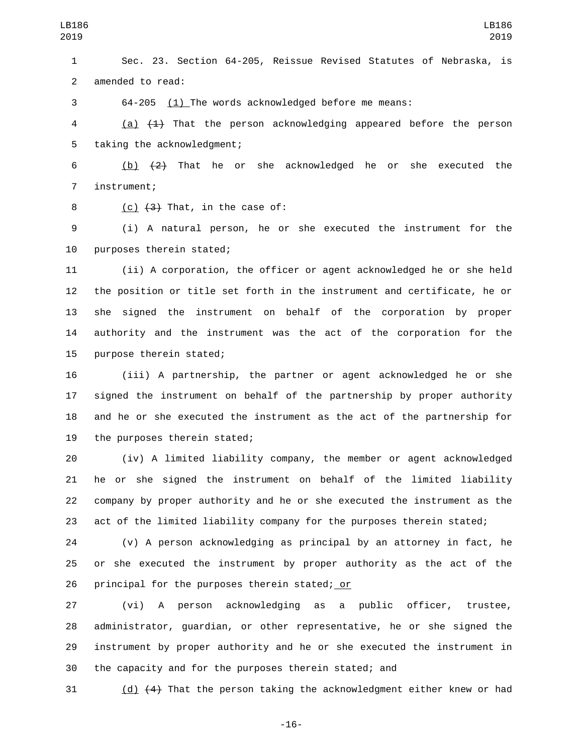Sec. 23. Section 64-205, Reissue Revised Statutes of Nebraska, is 2 amended to read:

64-205 (1) The words acknowledged before me means:

4 (a)  $\{4\}$  That the person acknowledging appeared before the person 5 taking the acknowledgment;

 (b) (2) That he or she acknowledged he or she executed the 7 instrument;

 $($ c)  $(3)$  That, in the case of:

 (i) A natural person, he or she executed the instrument for the 10 purposes therein stated;

 (ii) A corporation, the officer or agent acknowledged he or she held the position or title set forth in the instrument and certificate, he or she signed the instrument on behalf of the corporation by proper authority and the instrument was the act of the corporation for the 15 purpose therein stated;

 (iii) A partnership, the partner or agent acknowledged he or she signed the instrument on behalf of the partnership by proper authority and he or she executed the instrument as the act of the partnership for 19 the purposes therein stated;

 (iv) A limited liability company, the member or agent acknowledged he or she signed the instrument on behalf of the limited liability company by proper authority and he or she executed the instrument as the act of the limited liability company for the purposes therein stated;

 (v) A person acknowledging as principal by an attorney in fact, he or she executed the instrument by proper authority as the act of the 26 principal for the purposes therein stated; or

 (vi) A person acknowledging as a public officer, trustee, administrator, guardian, or other representative, he or she signed the instrument by proper authority and he or she executed the instrument in the capacity and for the purposes therein stated; and

(d)  $(4)$  That the person taking the acknowledgment either knew or had

-16-